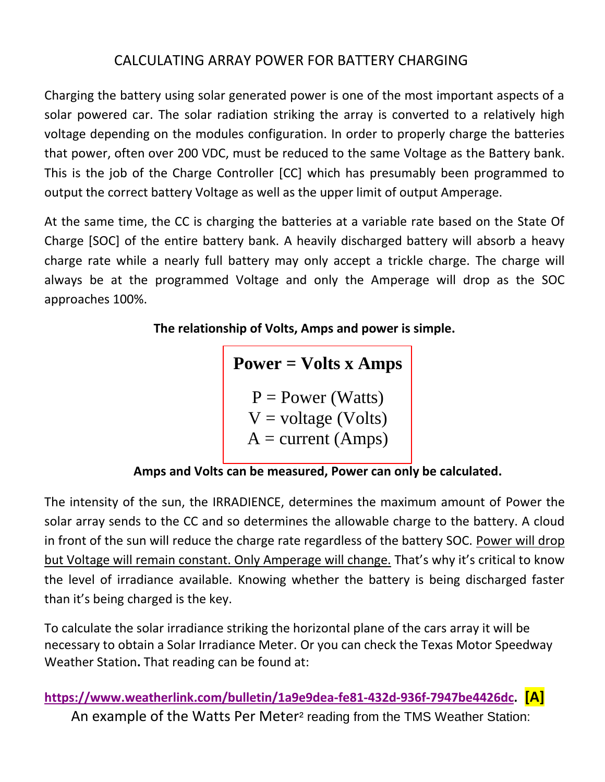## CALCULATING ARRAY POWER FOR BATTERY CHARGING

Charging the battery using solar generated power is one of the most important aspects of a solar powered car. The solar radiation striking the array is converted to a relatively high voltage depending on the modules configuration. In order to properly charge the batteries that power, often over 200 VDC, must be reduced to the same Voltage as the Battery bank. This is the job of the Charge Controller [CC] which has presumably been programmed to output the correct battery Voltage as well as the upper limit of output Amperage.

At the same time, the CC is charging the batteries at a variable rate based on the State Of Charge [SOC] of the entire battery bank. A heavily discharged battery will absorb a heavy charge rate while a nearly full battery may only accept a trickle charge. The charge will always be at the programmed Voltage and only the Amperage will drop as the SOC approaches 100%.

**The relationship of Volts, Amps and power is simple.**

**Power = Volts x Amps**

 $P = Power (Watts)$  $V = voltage (Volts)$  $A = current (Amps)$ 

**Amps and Volts can be measured, Power can only be calculated.**

The intensity of the sun, the IRRADIENCE, determines the maximum amount of Power the solar array sends to the CC and so determines the allowable charge to the battery. A cloud in front of the sun will reduce the charge rate regardless of the battery SOC. Power will drop but Voltage will remain constant. Only Amperage will change. That's why it's critical to know the level of irradiance available. Knowing whether the battery is being discharged faster than it's being charged is the key.

To calculate the solar irradiance striking the horizontal plane of the cars array it will be necessary to obtain a Solar Irradiance Meter. Or you can check the Texas Motor Speedway Weather Station**.** That reading can be found at:

**[https://www.weatherlink.com/bulletin/1a9e9dea-fe81-432d-936f-7947be4426dc.](https://www.weatherlink.com/bulletin/1a9e9dea-fe81-432d-936f-7947be4426dc) [A]** An example of the Watts Per Meter² reading from the TMS Weather Station: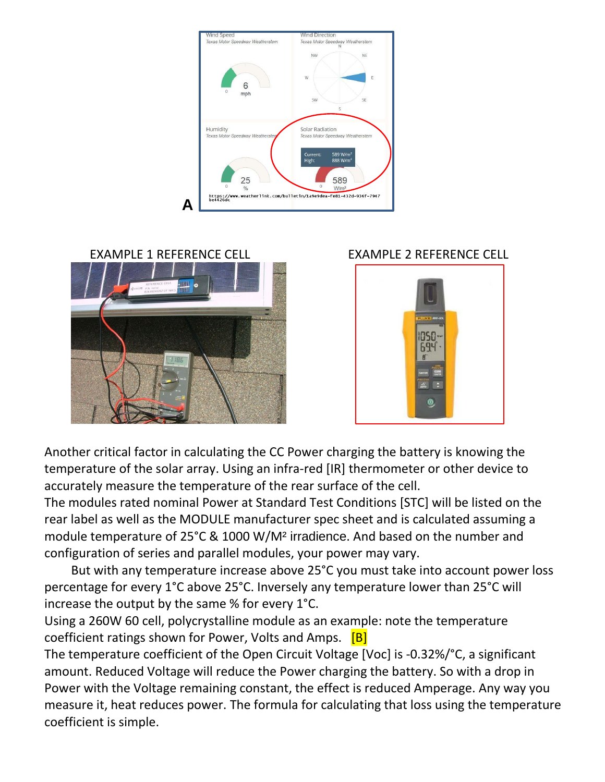





Another critical factor in calculating the CC Power charging the battery is knowing the temperature of the solar array. Using an infra-red [IR] thermometer or other device to accurately measure the temperature of the rear surface of the cell.

The modules rated nominal Power at Standard Test Conditions [STC] will be listed on the rear label as well as the MODULE manufacturer spec sheet and is calculated assuming a module temperature of 25°C & 1000 W/M² irradience. And based on the number and configuration of series and parallel modules, your power may vary.

But with any temperature increase above 25°C you must take into account power loss percentage for every 1°C above 25°C. Inversely any temperature lower than 25°C will increase the output by the same % for every 1°C.

Using a 260W 60 cell, polycrystalline module as an example: note the temperature coefficient ratings shown for Power, Volts and Amps. [B]

The temperature coefficient of the Open Circuit Voltage [Voc] is -0.32%/°C, a significant amount. Reduced Voltage will reduce the Power charging the battery. So with a drop in Power with the Voltage remaining constant, the effect is reduced Amperage. Any way you measure it, heat reduces power. The formula for calculating that loss using the temperature coefficient is simple.